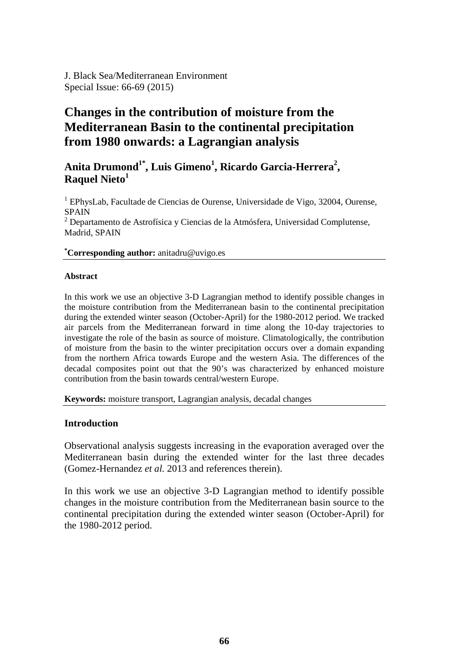# **Changes in the contribution of moisture from the Mediterranean Basin to the continental precipitation from 1980 onwards: a Lagrangian analysis**

# Anita Drumond<sup>1\*</sup>, Luis Gimeno<sup>1</sup>, Ricardo Garcia-Herrera<sup>2</sup>, **Raquel Nieto<sup>1</sup>**

<sup>1</sup> EPhysLab, Facultade de Ciencias de Ourense, Universidade de Vigo, 32004, Ourense, SPAIN

 $2$  Departamento de Astrofísica y Ciencias de la Atmósfera, Universidad Complutense, Madrid, SPAIN

#### **\* Corresponding author:** anitadru@uvigo.es

#### **Abstract**

In this work we use an objective 3-D Lagrangian method to identify possible changes in the moisture contribution from the Mediterranean basin to the continental precipitation during the extended winter season (October-April) for the 1980-2012 period. We tracked air parcels from the Mediterranean forward in time along the 10-day trajectories to investigate the role of the basin as source of moisture. Climatologically, the contribution of moisture from the basin to the winter precipitation occurs over a domain expanding from the northern Africa towards Europe and the western Asia. The differences of the decadal composites point out that the 90's was characterized by enhanced moisture contribution from the basin towards central/western Europe.

**Keywords:** moisture transport, Lagrangian analysis, decadal changes

#### **Introduction**

Observational analysis suggests increasing in the evaporation averaged over the Mediterranean basin during the extended winter for the last three decades (Gomez-Hernandez *et al.* 2013 and references therein).

In this work we use an objective 3-D Lagrangian method to identify possible changes in the moisture contribution from the Mediterranean basin source to the continental precipitation during the extended winter season (October-April) for the 1980-2012 period.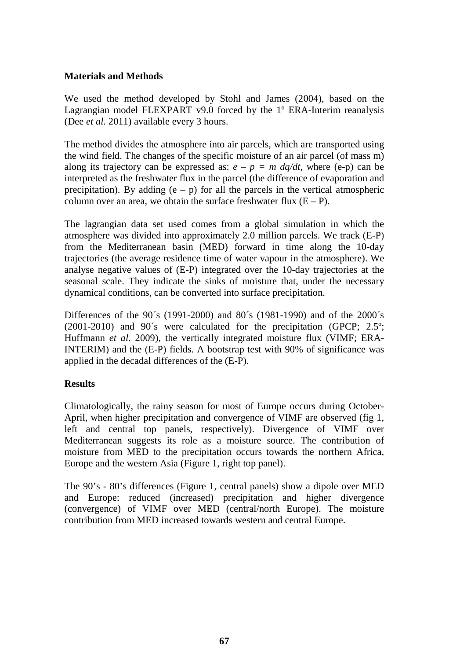### **Materials and Methods**

We used the method developed by Stohl and James (2004), based on the Lagrangian model FLEXPART v9.0 forced by the 1º ERA-Interim reanalysis (Dee *et al.* 2011) available every 3 hours.

The method divides the atmosphere into air parcels, which are transported using the wind field. The changes of the specific moisture of an air parcel (of mass m) along its trajectory can be expressed as:  $e - p = m \frac{dq}{dt}$ , where (e-p) can be interpreted as the freshwater flux in the parcel (the difference of evaporation and precipitation). By adding  $(e - p)$  for all the parcels in the vertical atmospheric column over an area, we obtain the surface freshwater flux  $(E - P)$ .

The lagrangian data set used comes from a global simulation in which the atmosphere was divided into approximately 2.0 million parcels. We track (E-P) from the Mediterranean basin (MED) forward in time along the 10-day trajectories (the average residence time of water vapour in the atmosphere). We analyse negative values of (E-P) integrated over the 10-day trajectories at the seasonal scale. They indicate the sinks of moisture that, under the necessary dynamical conditions, can be converted into surface precipitation.

Differences of the 90´s (1991-2000) and 80´s (1981-1990) and of the 2000´s (2001-2010) and 90´s were calculated for the precipitation (GPCP; 2.5º; Huffmann *et al*. 2009), the vertically integrated moisture flux (VIMF; ERA-INTERIM) and the (E-P) fields. A bootstrap test with 90% of significance was applied in the decadal differences of the (E-P).

## **Results**

Climatologically, the rainy season for most of Europe occurs during October-April, when higher precipitation and convergence of VIMF are observed (fig 1, left and central top panels, respectively). Divergence of VIMF over Mediterranean suggests its role as a moisture source. The contribution of moisture from MED to the precipitation occurs towards the northern Africa, Europe and the western Asia (Figure 1, right top panel).

The 90's - 80's differences (Figure 1, central panels) show a dipole over MED and Europe: reduced (increased) precipitation and higher divergence (convergence) of VIMF over MED (central/north Europe). The moisture contribution from MED increased towards western and central Europe.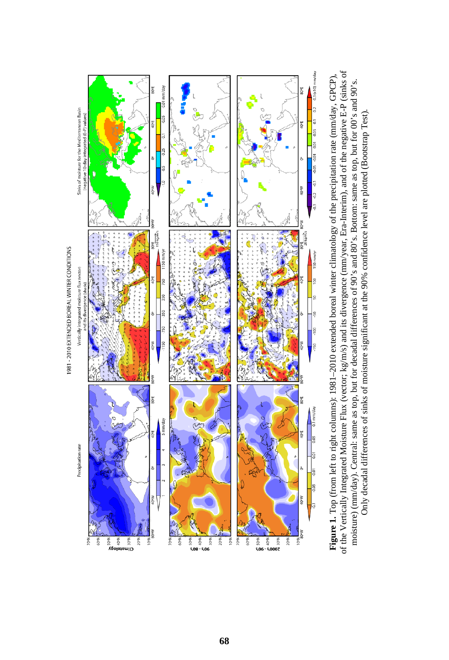

of the Vertically Integrated Moisture Flux (vector; kg/m/s) and its divergence (mm/year, Era-Interim), and of the negative E-P (sinks of of the Vertically Integrated Moisture Flux (vector; kg/m/s) and its divergence (mm/year, Era-Interim), and of the negative E-P (sinks of **Figure 1.** Top (from left to right columns): 1981–2010 extended boreal winter climatology of the precipitation rate (mm/day, GPCP), **Figure 1.** Top (from left to right columns): 1981–2010 extended boreal winter climatology of the precipitation rate (mm/day, GPCP), moisture) (mm/day). Central: same as top, but for decadal differences of 90's and 80's. Bottom: same as top, but for 00's and 90's. moisture) (mm/day). Central: same as top, but for decadal differences of 90's and 80's. Bottom: same as top, but for 00's and 90's. Only decadal differences of sinks of moisture significant at the 90% confidence level are plotted (Bootstrap Test). Only decadal differences of sinks of moisture significant at the 90% confidence level are plotted (Bootstrap Test).